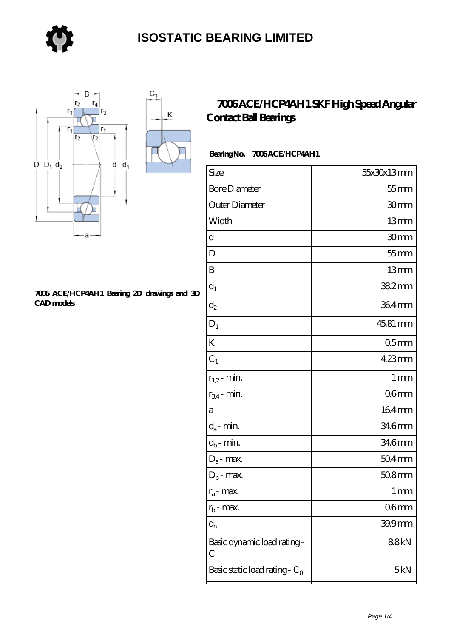

Κ



#### **[7006 ACE/HCP4AH1 Bearing 2D drawings and 3D](https://store-isabelmarant.com/pic-931813.html) [CAD models](https://store-isabelmarant.com/pic-931813.html)**

### **[7006 ACE/HCP4AH1 SKF High Speed Angular](https://store-isabelmarant.com/skf-bearings/7006-ace-hcp4ah1.html) [Contact Ball Bearings](https://store-isabelmarant.com/skf-bearings/7006-ace-hcp4ah1.html)**

### Bearing No. 7006 ACE/HCP4AH1

| $55$ mm          |
|------------------|
|                  |
| 30mm             |
| 13mm             |
| 30mm             |
| $55$ mm          |
| 13mm             |
| $382$ mm         |
| 364mm            |
| 45.81 mm         |
| 05 <sub>mm</sub> |
| 423mm            |
| 1 <sub>mm</sub>  |
| 06 <sub>mm</sub> |
| $164$ mm         |
| 346mm            |
| 346mm            |
| $504$ mm         |
| $508$ mm         |
| 1 <sub>mm</sub>  |
| 06 <sub>mm</sub> |
| 39.9mm           |
| 88kN             |
| 5kN              |
|                  |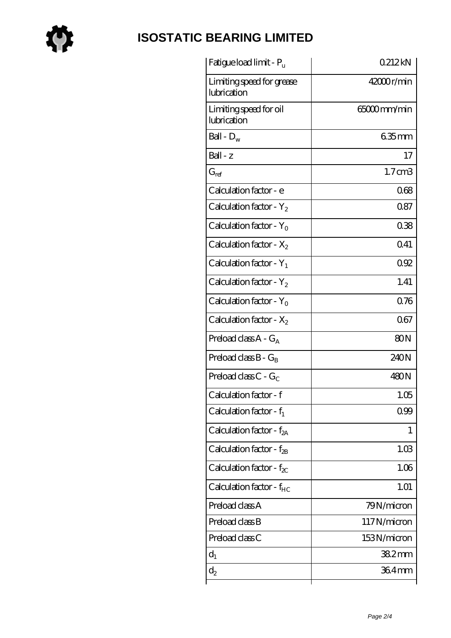

# **[ISOSTATIC BEARING LIMITED](https://store-isabelmarant.com)**

| Fatigue load limit - P <sub>u</sub>      | 0212kN             |
|------------------------------------------|--------------------|
| Limiting speed for grease<br>lubrication | $42000$ r/min      |
| Limiting speed for oil<br>lubrication    | 65000mm/min        |
| Ball - $D_w$                             | $635$ mm           |
| $Ball - z$                               | 17                 |
| $G_{ref}$                                | 1.7 <sub>cm3</sub> |
| Calculation factor - e                   | 068                |
| Calculation factor - $Y_2$               | 0.87               |
| Calculation factor - $Y_0$               | 038                |
| Calculation factor - $X_2$               | 0.41               |
| Calculation factor - $Y_1$               | 092                |
| Calculation factor - $Y_2$               | 1.41               |
| Calculation factor - $Y_0$               | 0.76               |
| Calculation factor - $X_2$               | 067                |
| Preload class $A - G_A$                  | 80N                |
| Preload class $B - G_B$                  | 240N               |
| Preload class C - $G_C$                  | 480N               |
| Calculation factor - f                   | 1.05               |
| Calculation factor - $f_1$               | 0.99               |
| Calculation factor - $f_{2A}$            | 1                  |
| Calculation factor - $f_{2B}$            | 1.03               |
| Calculation factor - $f_{\chi}$          | 1.06               |
| Calculation factor - $f_{HC}$            | 1.01               |
| Preload class A                          | 79N/micron         |
| Preload class B                          | 117N/micron        |
| Preload class C                          | 153N/micron        |
| $d_1$                                    | $382$ mm           |
| $\mathrm{d}_2$                           | 364mm              |
|                                          |                    |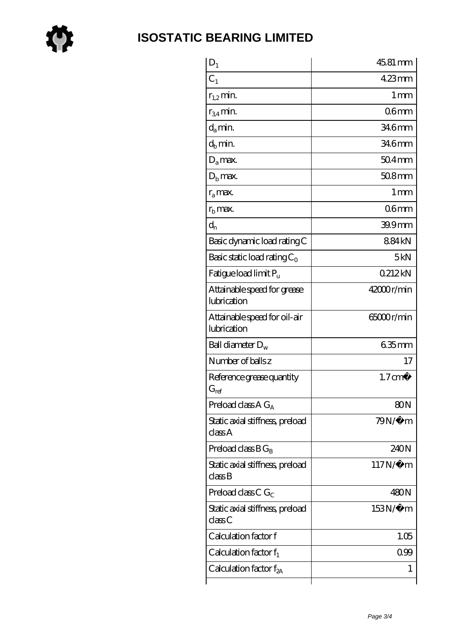

| $D_1$                                                         | 45.81 mm           |
|---------------------------------------------------------------|--------------------|
| C <sub>1</sub>                                                | $423$ mm           |
| $r_{1,2}$ min.                                                | 1 <sub>mm</sub>    |
| $r_{34}$ min.                                                 | 06 <sub>mm</sub>   |
| $d_{a}$ min.                                                  | 34.6mm             |
| $d_h$ min.                                                    | 34.6mm             |
| $D_a$ max.                                                    | $504$ mm           |
| $Db$ max.                                                     | $508$ mm           |
| $r_a$ max.                                                    | 1 <sub>mm</sub>    |
| $r_{\rm b}$ max.                                              | 06mm               |
| $d_{n}$                                                       | $399$ mm           |
| Basic dynamic load rating C                                   | 884kN              |
| Basic static load rating $C_0$                                | 5kN                |
| Fatigue load limit $P_u$                                      | 0212kN             |
| Attainable speed for grease<br>lubrication                    | $42000$ r/min      |
| Attainable speed for oil-air<br>lubrication                   | 65000r/min         |
| Ball diameter $D_w$                                           | $635$ mm           |
| Number of balls z                                             | 17                 |
| Reference grease quantity<br>$G_{ref}$                        | $1.7 \text{ cm}^3$ |
| Preload class A $G_A$                                         | 80 <sub>N</sub>    |
| Static axial stiffness, preload<br>classA                     | $79N/\mu$ m        |
| Preload class $BG_R$                                          | 240N               |
| Static axial stiffness, preload<br>$\mathrm{class}\mathrm{B}$ | $117N/\mu$ m       |
| Preload class C $G_C$                                         | 480N               |
| Static axial stiffness, preload<br>classC                     | 153N/μ m           |
| Calculation factor f                                          | 1.05               |
| Calculation factor $f_1$                                      | 099                |
| Calculation factor $f_{2A}$                                   | 1                  |
|                                                               |                    |